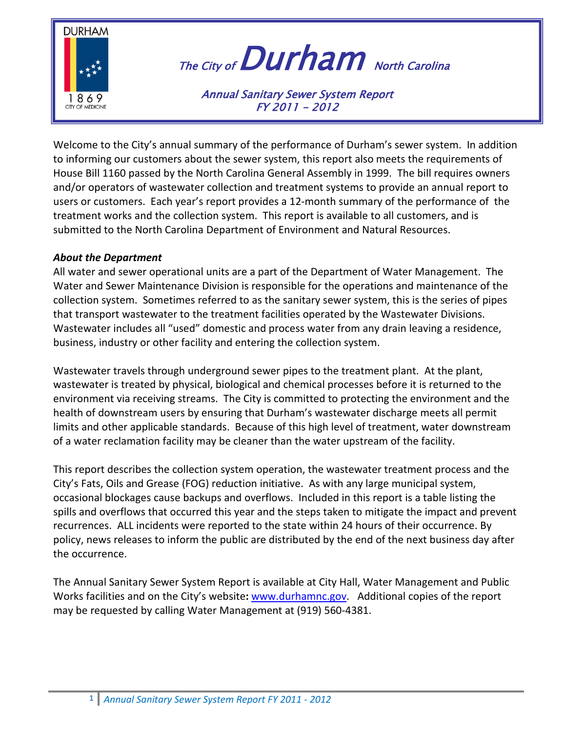

# The City of  $Durham$  North Carolina

Annual Sanitary Sewer System Report FY 2011 - 2012

Welcome to the City's annual summary of the performance of Durham's sewer system. In addition to informing our customers about the sewer system, this report also meets the requirements of House Bill 1160 passed by the North Carolina General Assembly in 1999. The bill requires owners and/or operators of wastewater collection and treatment systems to provide an annual report to users or customers. Each year's report provides a 12-month summary of the performance of the treatment works and the collection system. This report is available to all customers, and is submitted to the North Carolina Department of Environment and Natural Resources.

### *About the Department*

All water and sewer operational units are a part of the Department of Water Management. The Water and Sewer Maintenance Division is responsible for the operations and maintenance of the collection system. Sometimes referred to as the sanitary sewer system, this is the series of pipes that transport wastewater to the treatment facilities operated by the Wastewater Divisions. Wastewater includes all "used" domestic and process water from any drain leaving a residence, business, industry or other facility and entering the collection system.

Wastewater travels through underground sewer pipes to the treatment plant. At the plant, wastewater is treated by physical, biological and chemical processes before it is returned to the environment via receiving streams. The City is committed to protecting the environment and the health of downstream users by ensuring that Durham's wastewater discharge meets all permit limits and other applicable standards. Because of this high level of treatment, water downstream of a water reclamation facility may be cleaner than the water upstream of the facility.

This report describes the collection system operation, the wastewater treatment process and the City's Fats, Oils and Grease (FOG) reduction initiative. As with any large municipal system, occasional blockages cause backups and overflows. Included in this report is a table listing the spills and overflows that occurred this year and the steps taken to mitigate the impact and prevent recurrences. ALL incidents were reported to the state within 24 hours of their occurrence. By policy, news releases to inform the public are distributed by the end of the next business day after the occurrence.

The Annual Sanitary Sewer System Report is available at City Hall, Water Management and Public Works facilities and on the City's website**:** [www.durhamnc.gov.](http://www.durhamnc.gov/) Additional copies of the report may be requested by calling Water Management at (919) 560-4381.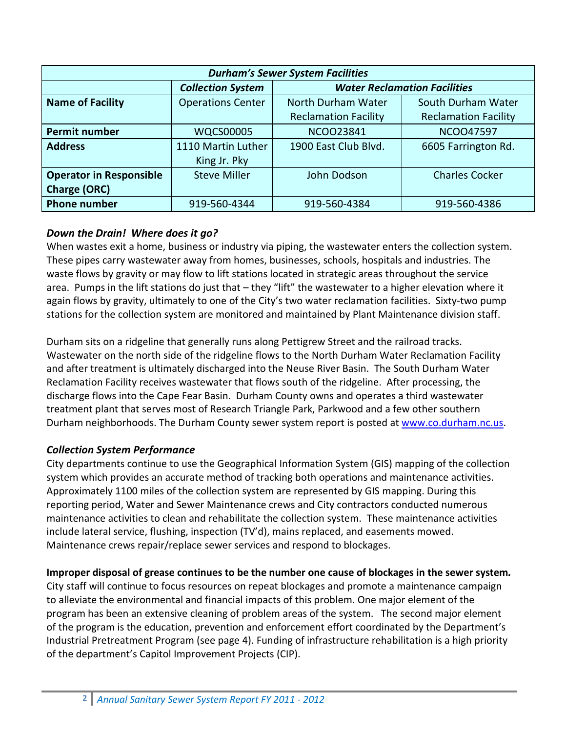| <b>Durham's Sewer System Facilities</b> |                          |                                     |                             |
|-----------------------------------------|--------------------------|-------------------------------------|-----------------------------|
|                                         | <b>Collection System</b> | <b>Water Reclamation Facilities</b> |                             |
| <b>Name of Facility</b>                 | <b>Operations Center</b> | North Durham Water                  | South Durham Water          |
|                                         |                          | <b>Reclamation Facility</b>         | <b>Reclamation Facility</b> |
| <b>Permit number</b>                    | <b>WQCS00005</b>         | NCO023841                           | <b>NCOO47597</b>            |
| <b>Address</b>                          | 1110 Martin Luther       | 1900 East Club Blvd.                | 6605 Farrington Rd.         |
|                                         | King Jr. Pky             |                                     |                             |
| <b>Operator in Responsible</b>          | <b>Steve Miller</b>      | John Dodson                         | <b>Charles Cocker</b>       |
| <b>Charge (ORC)</b>                     |                          |                                     |                             |
| <b>Phone number</b>                     | 919-560-4344             | 919-560-4384                        | 919-560-4386                |

### *Down the Drain! Where does it go?*

When wastes exit a home, business or industry via piping, the wastewater enters the collection system. These pipes carry wastewater away from homes, businesses, schools, hospitals and industries. The waste flows by gravity or may flow to lift stations located in strategic areas throughout the service area. Pumps in the lift stations do just that - they "lift" the wastewater to a higher elevation where it again flows by gravity, ultimately to one of the City's two water reclamation facilities. Sixty-two pump stations for the collection system are monitored and maintained by Plant Maintenance division staff.

Durham sits on a ridgeline that generally runs along Pettigrew Street and the railroad tracks. Wastewater on the north side of the ridgeline flows to the North Durham Water Reclamation Facility and after treatment is ultimately discharged into the Neuse River Basin. The South Durham Water Reclamation Facility receives wastewater that flows south of the ridgeline. After processing, the discharge flows into the Cape Fear Basin. Durham County owns and operates a third wastewater treatment plant that serves most of Research Triangle Park, Parkwood and a few other southern Durham neighborhoods. The Durham County sewer system report is posted at [www.co.durham.nc.us.](http://www.co.durham.nc.us/)

## *Collection System Performance*

City departments continue to use the Geographical Information System (GIS) mapping of the collection system which provides an accurate method of tracking both operations and maintenance activities. Approximately 1100 miles of the collection system are represented by GIS mapping. During this reporting period, Water and Sewer Maintenance crews and City contractors conducted numerous maintenance activities to clean and rehabilitate the collection system. These maintenance activities include lateral service, flushing, inspection (TV'd), mains replaced, and easements mowed. Maintenance crews repair/replace sewer services and respond to blockages.

### **Improper disposal of grease continues to be the number one cause of blockages in the sewer system***.*

City staff will continue to focus resources on repeat blockages and promote a maintenance campaign to alleviate the environmental and financial impacts of this problem. One major element of the program has been an extensive cleaning of problem areas of the system. The second major element of the program is the education, prevention and enforcement effort coordinated by the Department's Industrial Pretreatment Program (see page 4). Funding of infrastructure rehabilitation is a high priority of the department's Capitol Improvement Projects (CIP).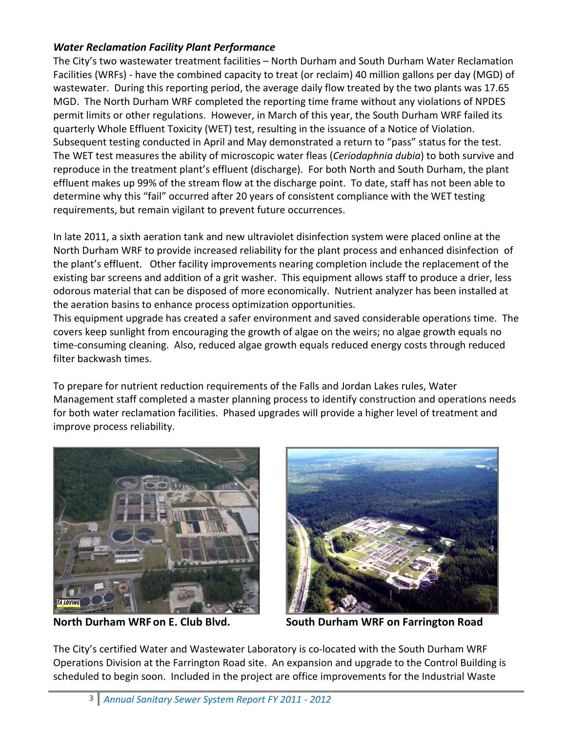#### *Water Reclamation Facility Plant Performance*

The City's two wastewater treatment facilities – North Durham and South Durham Water Reclamation Facilities (WRFs) - have the combined capacity to treat (or reclaim) 40 million gallons per day (MGD) of wastewater. During this reporting period, the average daily flow treated by the two plants was 17.65 MGD. The North Durham WRF completed the reporting time frame without any violations of NPDES permit limits or other regulations. However, in March of this year, the South Durham WRF failed its quarterly Whole Effluent Toxicity (WET) test, resulting in the issuance of a Notice of Violation. Subsequent testing conducted in April and May demonstrated a return to "pass" status for the test. The WET test measures the ability of microscopic water fleas (*Ceriodaphnia dubia*) to both survive and reproduce in the treatment plant's effluent (discharge). For both North and South Durham, the plant effluent makes up 99% of the stream flow at the discharge point. To date, staff has not been able to determine why this "fail" occurred after 20 years of consistent compliance with the WET testing requirements, but remain vigilant to prevent future occurrences.

In late 2011, a sixth aeration tank and new ultraviolet disinfection system were placed online at the North Durham WRF to provide increased reliability for the plant process and enhanced disinfection of the plant's effluent. Other facility improvements nearing completion include the replacement of the existing bar screens and addition of a grit washer. This equipment allows staff to produce a drier, less odorous material that can be disposed of more economically. Nutrient analyzer has been installed at the aeration basins to enhance process optimization opportunities.

This equipment upgrade has created a safer environment and saved considerable operations time. The covers keep sunlight from encouraging the growth of algae on the weirs; no algae growth equals no time-consuming cleaning. Also, reduced algae growth equals reduced energy costs through reduced filter backwash times.

To prepare for nutrient reduction requirements of the Falls and Jordan Lakes rules, Water Management staff completed a master planning process to identify construction and operations needs for both water reclamation facilities. Phased upgrades will provide a higher level of treatment and improve process reliability.





**North Durham WRF on E. Club Blvd. South Durham WRF on Farrington Road**

The City's certified Water and Wastewater Laboratory is co-located with the South Durham WRF Operations Division at the Farrington Road site. An expansion and upgrade to the Control Building is scheduled to begin soon. Included in the project are office improvements for the Industrial Waste